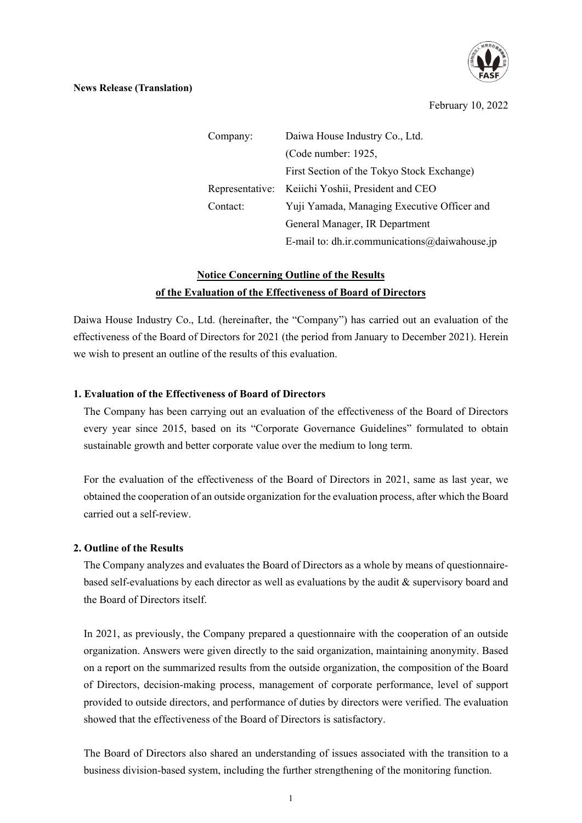

## **News Release (Translation)**

February 10, 2022

Company: Daiwa House Industry Co., Ltd. (Code number: 1925, First Section of the Tokyo Stock Exchange) Representative: Keiichi Yoshii, President and CEO Contact: Yuji Yamada, Managing Executive Officer and General Manager, IR Department E-mail to: dh.ir.communications@daiwahouse.jp

# **Notice Concerning Outline of the Results of the Evaluation of the Effectiveness of Board of Directors**

Daiwa House Industry Co., Ltd. (hereinafter, the "Company") has carried out an evaluation of the effectiveness of the Board of Directors for 2021 (the period from January to December 2021). Herein we wish to present an outline of the results of this evaluation.

# **1. Evaluation of the Effectiveness of Board of Directors**

The Company has been carrying out an evaluation of the effectiveness of the Board of Directors every year since 2015, based on its "Corporate Governance Guidelines" formulated to obtain sustainable growth and better corporate value over the medium to long term.

For the evaluation of the effectiveness of the Board of Directors in 2021, same as last year, we obtained the cooperation of an outside organization for the evaluation process, after which the Board carried out a self-review.

## **2. Outline of the Results**

The Company analyzes and evaluates the Board of Directors as a whole by means of questionnairebased self-evaluations by each director as well as evaluations by the audit & supervisory board and the Board of Directors itself.

In 2021, as previously, the Company prepared a questionnaire with the cooperation of an outside organization. Answers were given directly to the said organization, maintaining anonymity. Based on a report on the summarized results from the outside organization, the composition of the Board of Directors, decision-making process, management of corporate performance, level of support provided to outside directors, and performance of duties by directors were verified. The evaluation showed that the effectiveness of the Board of Directors is satisfactory.

The Board of Directors also shared an understanding of issues associated with the transition to a business division-based system, including the further strengthening of the monitoring function.